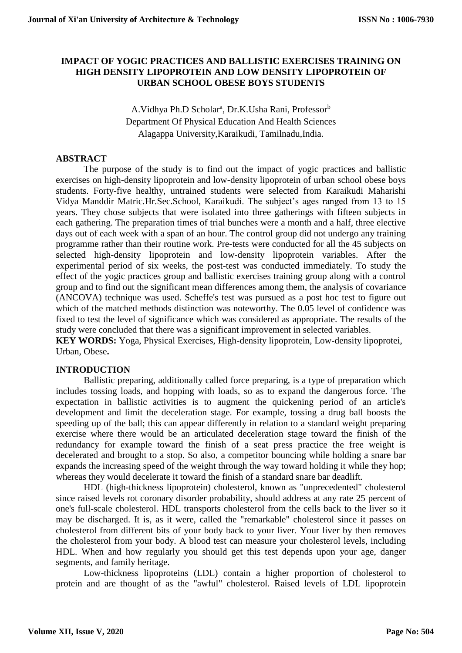# **IMPACT OF YOGIC PRACTICES AND BALLISTIC EXERCISES TRAINING ON HIGH DENSITY LIPOPROTEIN AND LOW DENSITY LIPOPROTEIN OF URBAN SCHOOL OBESE BOYS STUDENTS**

A. Vidhya Ph.D Scholar<sup>a</sup>, Dr.K. Usha Rani, Professor<sup>b</sup> Department Of Physical Education And Health Sciences Alagappa University,Karaikudi, Tamilnadu,India.

## **ABSTRACT**

The purpose of the study is to find out the impact of yogic practices and ballistic exercises on high-density lipoprotein and low-density lipoprotein of urban school obese boys students. Forty-five healthy, untrained students were selected from Karaikudi Maharishi Vidya Manddir Matric.Hr.Sec.School, Karaikudi. The subject's ages ranged from 13 to 15 years. They chose subjects that were isolated into three gatherings with fifteen subjects in each gathering. The preparation times of trial bunches were a month and a half, three elective days out of each week with a span of an hour. The control group did not undergo any training programme rather than their routine work. Pre-tests were conducted for all the 45 subjects on selected high-density lipoprotein and low-density lipoprotein variables. After the experimental period of six weeks, the post-test was conducted immediately. To study the effect of the yogic practices group and ballistic exercises training group along with a control group and to find out the significant mean differences among them, the analysis of covariance (ANCOVA) technique was used. Scheffe's test was pursued as a post hoc test to figure out which of the matched methods distinction was noteworthy. The 0.05 level of confidence was fixed to test the level of significance which was considered as appropriate. The results of the study were concluded that there was a significant improvement in selected variables.

**KEY WORDS:** Yoga, Physical Exercises, High-density lipoprotein, Low-density lipoprotei, Urban, Obese**.**

# **INTRODUCTION**

Ballistic preparing, additionally called force preparing, is a type of preparation which includes tossing loads, and hopping with loads, so as to expand the dangerous force. The expectation in ballistic activities is to augment the quickening period of an article's development and limit the deceleration stage. For example, tossing a drug ball boosts the speeding up of the ball; this can appear differently in relation to a standard weight preparing exercise where there would be an articulated deceleration stage toward the finish of the redundancy for example toward the finish of a seat press practice the free weight is decelerated and brought to a stop. So also, a competitor bouncing while holding a snare bar expands the increasing speed of the weight through the way toward holding it while they hop; whereas they would decelerate it toward the finish of a standard snare bar deadlift.

HDL (high-thickness lipoprotein) cholesterol, known as "unprecedented" cholesterol since raised levels rot coronary disorder probability, should address at any rate 25 percent of one's full-scale cholesterol. HDL transports cholesterol from the cells back to the liver so it may be discharged. It is, as it were, called the "remarkable" cholesterol since it passes on cholesterol from different bits of your body back to your liver. Your liver by then removes the cholesterol from your body. A blood test can measure your cholesterol levels, including HDL. When and how regularly you should get this test depends upon your age, danger segments, and family heritage.

Low-thickness lipoproteins (LDL) contain a higher proportion of cholesterol to protein and are thought of as the "awful" cholesterol. Raised levels of LDL lipoprotein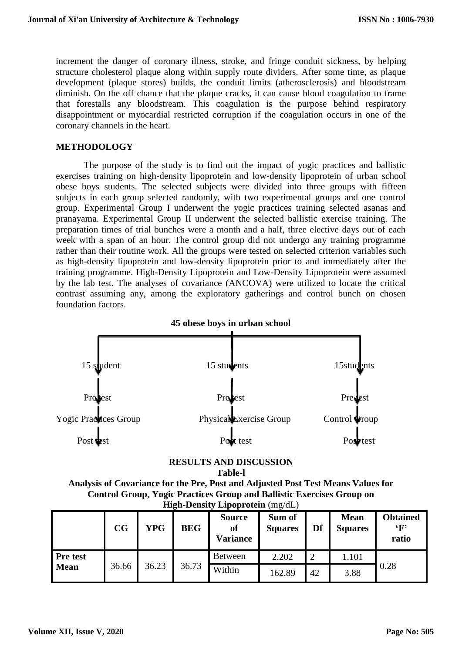increment the danger of coronary illness, stroke, and fringe conduit sickness, by helping structure cholesterol plaque along within supply route dividers. After some time, as plaque development (plaque stores) builds, the conduit limits (atherosclerosis) and bloodstream diminish. On the off chance that the plaque cracks, it can cause blood coagulation to frame that forestalls any bloodstream. This coagulation is the purpose behind respiratory disappointment or myocardial restricted corruption if the coagulation occurs in one of the coronary channels in the heart.

### **METHODOLOGY**

The purpose of the study is to find out the impact of yogic practices and ballistic exercises training on high-density lipoprotein and low-density lipoprotein of urban school obese boys students. The selected subjects were divided into three groups with fifteen subjects in each group selected randomly, with two experimental groups and one control group. Experimental Group I underwent the yogic practices training selected asanas and pranayama. Experimental Group II underwent the selected ballistic exercise training. The preparation times of trial bunches were a month and a half, three elective days out of each week with a span of an hour. The control group did not undergo any training programme rather than their routine work. All the groups were tested on selected criterion variables such as high-density lipoprotein and low-density lipoprotein prior to and immediately after the training programme. High-Density Lipoprotein and Low-Density Lipoprotein were assumed by the lab test. The analyses of covariance (ANCOVA) were utilized to locate the critical contrast assuming any, among the exploratory gatherings and control bunch on chosen foundation factors.



# **RESULTS AND DISCUSSION**

**Table-l**

**Analysis of Covariance for the Pre, Post and Adjusted Post Test Means Values for Control Group, Yogic Practices Group and Ballistic Exercises Group on High-Density Lipoprotein** (mg/dL)

|                 | CG    | <b>YPG</b> | <b>BEG</b> | <b>Source</b><br>of<br><b>Variance</b> | Sum of<br><b>Squares</b> | Df | <b>Mean</b><br><b>Squares</b> | <b>Obtained</b><br>$\cdot_F$<br>ratio |
|-----------------|-------|------------|------------|----------------------------------------|--------------------------|----|-------------------------------|---------------------------------------|
| <b>Pre test</b> |       |            |            | <b>Between</b>                         | 2.202                    | っ  | 1.101                         |                                       |
| <b>Mean</b>     | 36.66 | 36.23      | 36.73      | Within                                 | 162.89                   | 42 | 3.88                          | 0.28                                  |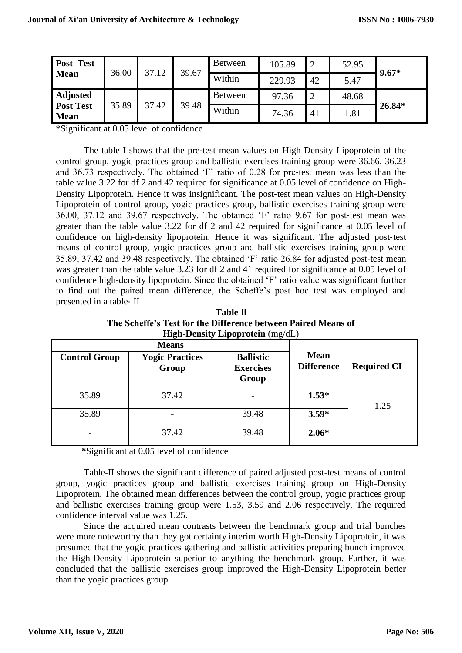| <b>Post Test</b><br><b>Mean</b> | 36.00 | 37.12 | 39.67 | Between        | 105.89 | $\overline{2}$ | 52.95 | $9.67*$ |        |
|---------------------------------|-------|-------|-------|----------------|--------|----------------|-------|---------|--------|
|                                 |       |       |       | Within         | 229.93 | 42             | 5.47  |         |        |
| <b>Adjusted</b>                 |       |       | 39.48 | <b>Between</b> | 97.36  | $\overline{2}$ | 48.68 |         |        |
| <b>Post Test</b><br><b>Mean</b> | 35.89 | 37.42 |       |                | Within | 74.36          | 41    | 1.81    | 26.84* |

\*Significant at 0.05 level of confidence

The table-I shows that the pre‐test mean values on High-Density Lipoprotein of the control group, yogic practices group and ballistic exercises training group were 36.66, 36.23 and 36.73 respectively. The obtained 'F' ratio of 0.28 for pre‐test mean was less than the table value 3.22 for df 2 and 42 required for significance at 0.05 level of confidence on High-Density Lipoprotein. Hence it was insignificant. The post-test mean values on High-Density Lipoprotein of control group, yogic practices group, ballistic exercises training group were 36.00, 37.12 and 39.67 respectively. The obtained 'F' ratio 9.67 for post‐test mean was greater than the table value 3.22 for df 2 and 42 required for significance at 0.05 level of confidence on high-density lipoprotein. Hence it was significant. The adjusted post‐test means of control group, yogic practices group and ballistic exercises training group were 35.89, 37.42 and 39.48 respectively. The obtained 'F' ratio 26.84 for adjusted post‐test mean was greater than the table value 3.23 for df 2 and 41 required for significance at 0.05 level of confidence high-density lipoprotein. Since the obtained 'F' ratio value was significant further to find out the paired mean difference, the Scheffe's post hoc test was employed and presented in a table‐ II

**Table-ll The Scheffe's Test for the Difference between Paired Means of High-Density Lipoprotein** (mg/dL)

|                      | <b>Means</b>                    |                                               |                                  |                    |  |
|----------------------|---------------------------------|-----------------------------------------------|----------------------------------|--------------------|--|
| <b>Control Group</b> | <b>Yogic Practices</b><br>Group | <b>Ballistic</b><br><b>Exercises</b><br>Group | <b>Mean</b><br><b>Difference</b> | <b>Required CI</b> |  |
| 35.89                | 37.42                           |                                               | $1.53*$                          | 1.25               |  |
| 35.89                |                                 | 39.48                                         | $3.59*$                          |                    |  |
|                      | 37.42                           | 39.48                                         | $2.06*$                          |                    |  |

 **\***Significant at 0.05 level of confidence

Table-II shows the significant difference of paired adjusted post-test means of control group, yogic practices group and ballistic exercises training group on High-Density Lipoprotein. The obtained mean differences between the control group, yogic practices group and ballistic exercises training group were 1.53, 3.59 and 2.06 respectively. The required confidence interval value was 1.25.

Since the acquired mean contrasts between the benchmark group and trial bunches were more noteworthy than they got certainty interim worth High-Density Lipoprotein, it was presumed that the yogic practices gathering and ballistic activities preparing bunch improved the High-Density Lipoprotein superior to anything the benchmark group. Further, it was concluded that the ballistic exercises group improved the High-Density Lipoprotein better than the yogic practices group.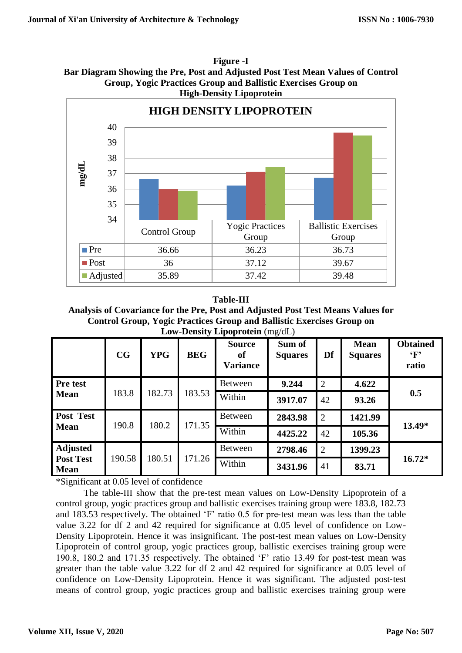**Figure -I Bar Diagram Showing the Pre, Post and Adjusted Post Test Mean Values of Control Group, Yogic Practices Group and Ballistic Exercises Group on High-Density Lipoprotein**



#### **Table-III**

**Analysis of Covariance for the Pre, Post and Adjusted Post Test Means Values for Control Group, Yogic Practices Group and Ballistic Exercises Group on Low-Density Lipoprotein** (mg/dL)

|                                 | CG     | <b>YPG</b> | <b>BEG</b> | <b>Source</b><br>of<br><b>Variance</b> | Sum of<br><b>Squares</b> | Df             | <b>Mean</b><br><b>Squares</b> | <b>Obtained</b><br>$\mathbf{F}$<br>ratio |  |
|---------------------------------|--------|------------|------------|----------------------------------------|--------------------------|----------------|-------------------------------|------------------------------------------|--|
| Pre test                        |        | 182.73     | 183.53     | <b>Between</b>                         | 9.244                    | $\overline{2}$ | 4.622                         |                                          |  |
| <b>Mean</b>                     | 183.8  |            |            | Within                                 | 3917.07                  | 42             | 93.26                         | 0.5                                      |  |
| Post Test                       |        |            | 171.35     | Between                                | 2843.98                  | $\overline{2}$ | 1421.99                       | $13.49*$                                 |  |
| 190.8<br><b>Mean</b>            |        | 180.2      |            | Within                                 | 4425.22                  | 42             | 105.36                        |                                          |  |
| <b>Adjusted</b>                 |        |            | 171.26     | <b>Between</b>                         | 2798.46                  | $\overline{2}$ | 1399.23                       |                                          |  |
| <b>Post Test</b><br><b>Mean</b> | 190.58 | 180.51     |            | Within                                 | 3431.96                  | 41             | 83.71                         | $16.72*$                                 |  |

\*Significant at 0.05 level of confidence

The table-III show that the pre-test mean values on Low-Density Lipoprotein of a control group, yogic practices group and ballistic exercises training group were 183.8, 182.73 and 183.53 respectively. The obtained 'F' ratio 0.5 for pre‐test mean was less than the table value 3.22 for df 2 and 42 required for significance at 0.05 level of confidence on Low-Density Lipoprotein. Hence it was insignificant. The post-test mean values on Low-Density Lipoprotein of control group, yogic practices group, ballistic exercises training group were 190.8, 180.2 and 171.35 respectively. The obtained 'F' ratio 13.49 for post-test mean was greater than the table value 3.22 for df 2 and 42 required for significance at 0.05 level of confidence on Low-Density Lipoprotein. Hence it was significant. The adjusted post-test means of control group, yogic practices group and ballistic exercises training group were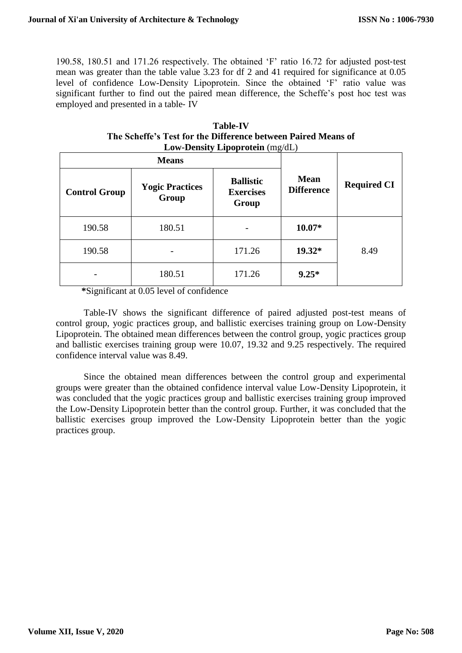190.58, 180.51 and 171.26 respectively. The obtained 'F' ratio 16.72 for adjusted post-test mean was greater than the table value 3.23 for df 2 and 41 required for significance at 0.05 level of confidence Low-Density Lipoprotein. Since the obtained 'F' ratio value was significant further to find out the paired mean difference, the Scheffe's post hoc test was employed and presented in a table‐ IV

| <b>Table-IV</b>                                               |  |  |  |  |  |  |
|---------------------------------------------------------------|--|--|--|--|--|--|
| The Scheffe's Test for the Difference between Paired Means of |  |  |  |  |  |  |
| Low-Density Lipoprotein $(mg/dL)$                             |  |  |  |  |  |  |

|                      | <b>Means</b>                    |                                               |                                  |                    |  |
|----------------------|---------------------------------|-----------------------------------------------|----------------------------------|--------------------|--|
| <b>Control Group</b> | <b>Yogic Practices</b><br>Group | <b>Ballistic</b><br><b>Exercises</b><br>Group | <b>Mean</b><br><b>Difference</b> | <b>Required CI</b> |  |
| 190.58               | 180.51                          |                                               | $10.07*$                         |                    |  |
| 190.58               |                                 | 171.26                                        | $19.32*$                         | 8.49               |  |
|                      | 180.51                          | 171.26                                        | $9.25*$                          |                    |  |

 **\***Significant at 0.05 level of confidence

Table-IV shows the significant difference of paired adjusted post-test means of control group, yogic practices group, and ballistic exercises training group on Low-Density Lipoprotein. The obtained mean differences between the control group, yogic practices group and ballistic exercises training group were 10.07, 19.32 and 9.25 respectively. The required confidence interval value was 8.49.

Since the obtained mean differences between the control group and experimental groups were greater than the obtained confidence interval value Low-Density Lipoprotein, it was concluded that the yogic practices group and ballistic exercises training group improved the Low-Density Lipoprotein better than the control group. Further, it was concluded that the ballistic exercises group improved the Low-Density Lipoprotein better than the yogic practices group.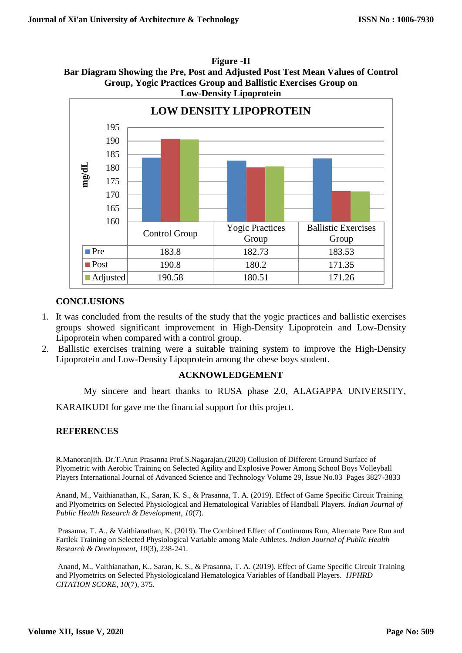**Figure -II Bar Diagram Showing the Pre, Post and Adjusted Post Test Mean Values of Control Group, Yogic Practices Group and Ballistic Exercises Group on Low-Density Lipoprotein** 



# **CONCLUSIONS**

- 1. It was concluded from the results of the study that the yogic practices and ballistic exercises groups showed significant improvement in High-Density Lipoprotein and Low-Density Lipoprotein when compared with a control group.
- 2. Ballistic exercises training were a suitable training system to improve the High-Density Lipoprotein and Low-Density Lipoprotein among the obese boys student.

### **ACKNOWLEDGEMENT**

My sincere and heart thanks to RUSA phase 2.0, ALAGAPPA UNIVERSITY,

KARAIKUDI for gave me the financial support for this project.

# **REFERENCES**

R.Manoranjith, Dr.T.Arun Prasanna Prof.S.Nagarajan,(2020) Collusion of Different Ground Surface of Plyometric with Aerobic Training on Selected Agility and Explosive Power Among School Boys Volleyball Players International Journal of Advanced Science and Technology Volume 29, Issue No.03 Pages 3827-3833

Anand, M., Vaithianathan, K., Saran, K. S., & Prasanna, T. A. (2019). Effect of Game Specific Circuit Training and Plyometrics on Selected Physiological and Hematological Variables of Handball Players. *Indian Journal of Public Health Research & Development*, *10*(7).

Prasanna, T. A., & Vaithianathan, K. (2019). The Combined Effect of Continuous Run, Alternate Pace Run and Fartlek Training on Selected Physiological Variable among Male Athletes. *Indian Journal of Public Health Research & Development*, *10*(3), 238-241.

Anand, M., Vaithianathan, K., Saran, K. S., & Prasanna, T. A. (2019). Effect of Game Specific Circuit Training and Plyometrics on Selected Physiologicaland Hematologica Variables of Handball Players. *IJPHRD CITATION SCORE*, *10*(7), 375.